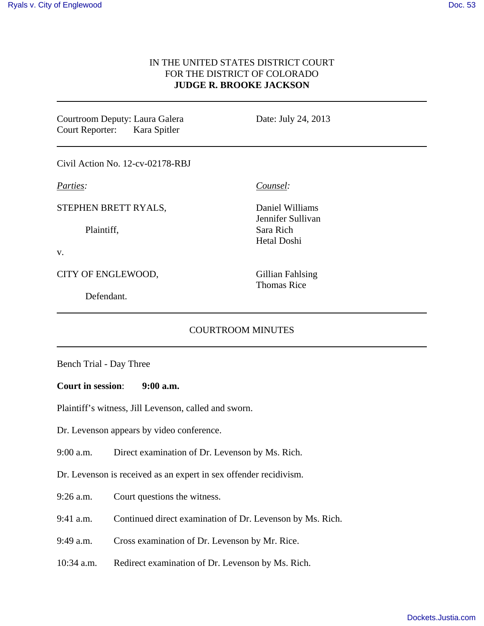# IN THE UNITED STATES DISTRICT COURT FOR THE DISTRICT OF COLORADO **JUDGE R. BROOKE JACKSON**

Courtroom Deputy: Laura Galera Court Reporter: Kara Spitler

Date: July 24, 2013

Civil Action No. 12-cv-02178-RBJ

*Parties:*

STEPHEN BRETT RYALS,

Plaintiff,

v.

CITY OF ENGLEWOOD,

Defendant.

*Counsel:*

Daniel Williams Jennifer Sullivan Sara Rich Hetal Doshi

Gillian Fahlsing Thomas Rice

# COURTROOM MINUTES

Bench Trial - Day Three

#### **Court in session**: **9:00 a.m.**

Plaintiff's witness, Jill Levenson, called and sworn.

Dr. Levenson appears by video conference.

9:00 a.m. Direct examination of Dr. Levenson by Ms. Rich.

Dr. Levenson is received as an expert in sex offender recidivism.

9:26 a.m. Court questions the witness.

9:41 a.m. Continued direct examination of Dr. Levenson by Ms. Rich.

9:49 a.m. Cross examination of Dr. Levenson by Mr. Rice.

10:34 a.m. Redirect examination of Dr. Levenson by Ms. Rich.